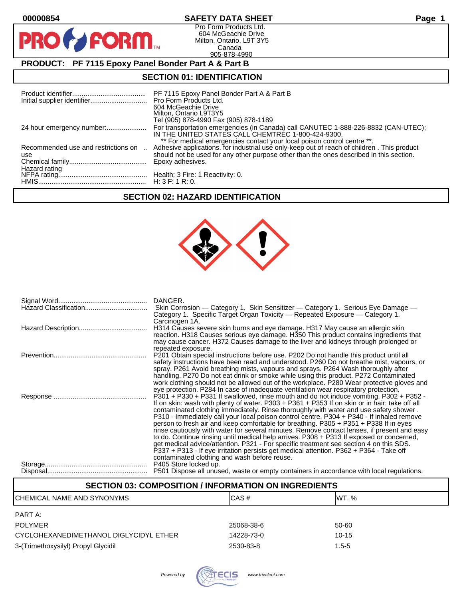$\mathbf O$ 

PR

## **00000854 SAFETY DATA SHEET Page 1**

Pro Form Products Ltd. 604 McGeachie Drive Milton, Ontario, L9T 3Y5 Canada 905-878-4990

## **PRODUCT: PF 7115 Epoxy Panel Bonder Part A & Part B**

**FORM** 

#### **SECTION 01: IDENTIFICATION**

|                                            | PF 7115 Epoxy Panel Bonder Part A & Part B<br>604 McGeachie Drive<br>Milton, Ontario L9T3Y5<br>Tel (905) 878-4990 Fax (905) 878-1189                                                                                                                             |
|--------------------------------------------|------------------------------------------------------------------------------------------------------------------------------------------------------------------------------------------------------------------------------------------------------------------|
|                                            | For transportation emergencies (in Canada) call CANUTEC 1-888-226-8832 (CAN-UTEC);<br>IN THE UNITED STATES CALL CHEMTREC 1-800-424-9300.                                                                                                                         |
| Recommended use and restrictions on<br>use | ** For medical emergencies contact your local poison control centre **.<br>Adhesive applications. for industrial use only-keep out of reach of children. This product<br>should not be used for any other purpose other than the ones described in this section. |
| Hazard rating                              | Epoxy adhesives.                                                                                                                                                                                                                                                 |
|                                            |                                                                                                                                                                                                                                                                  |

## **SECTION 02: HAZARD IDENTIFICATION**



| DANGER.<br>Skin Corrosion — Category 1. Skin Sensitizer — Category 1. Serious Eye Damage —<br>Category 1. Specific Target Organ Toxicity — Repeated Exposure — Category 1.                                                                                                                                                                                                                                                                                                                                                                                                                                                                                                                                                                                                                                                                                                                                                                                                                                            |
|-----------------------------------------------------------------------------------------------------------------------------------------------------------------------------------------------------------------------------------------------------------------------------------------------------------------------------------------------------------------------------------------------------------------------------------------------------------------------------------------------------------------------------------------------------------------------------------------------------------------------------------------------------------------------------------------------------------------------------------------------------------------------------------------------------------------------------------------------------------------------------------------------------------------------------------------------------------------------------------------------------------------------|
| Carcinogen 1A.<br>H314 Causes severe skin burns and eye damage. H317 May cause an allergic skin<br>reaction. H318 Causes serious eye damage. H350 This product contains ingredients that<br>may cause cancer. H372 Causes damage to the liver and kidneys through prolonged or                                                                                                                                                                                                                                                                                                                                                                                                                                                                                                                                                                                                                                                                                                                                        |
| repeated exposure.<br>P201 Obtain special instructions before use. P202 Do not handle this product until all<br>safety instructions have been read and understood. P260 Do not breathe mist, vapours, or<br>spray. P261 Avoid breathing mists, vapours and sprays. P264 Wash thoroughly after<br>handling. P270 Do not eat drink or smoke while using this product. P272 Contaminated<br>work clothing should not be allowed out of the workplace. P280 Wear protective gloves and                                                                                                                                                                                                                                                                                                                                                                                                                                                                                                                                    |
| eye protection. P284 In case of inadequate ventilation wear respiratory protection.<br>P301 + P330 + P331 If swallowed, rinse mouth and do not induce vomiting. P302 + P352 -<br>If on skin: wash with plenty of water. P303 + P361 + P353 If on skin or in hair: take off all<br>contaminated clothing immediately. Rinse thoroughly with water and use safety shower.<br>P310 - Immediately call your local poison control centre. P304 + P340 - If inhaled remove<br>person to fresh air and keep comfortable for breathing. P305 + P351 + P338 If in eyes<br>rinse cautiously with water for several minutes. Remove contact lenses, if present and easy<br>to do. Continue rinsing until medical help arrives. P308 + P313 If exposed or concerned,<br>get medical advice/attention. P321 - For specific treatment see section 4 on this SDS.<br>P337 + P313 - If eye irritation persists get medical attention. P362 + P364 - Take off<br>contaminated clothing and wash before reuse.<br>P405 Store locked up. |
| P501 Dispose all unused, waste or empty containers in accordance with local regulations.                                                                                                                                                                                                                                                                                                                                                                                                                                                                                                                                                                                                                                                                                                                                                                                                                                                                                                                              |

## **SECTION 03: COMPOSITION / INFORMATION ON INGREDIENTS**

| CHEMICAL NAME AND SYNONYMS             | CAS#       | <b>WT.</b> % |
|----------------------------------------|------------|--------------|
| PART A:                                |            |              |
| <b>POLYMER</b>                         | 25068-38-6 | 50-60        |
| CYCLOHEXANEDIMETHANOL DIGLYCIDYL ETHER | 14228-73-0 | $10 - 15$    |
| 3-(Trimethoxysilyl) Propyl Glycidil    | 2530-83-8  | $1.5 - 5$    |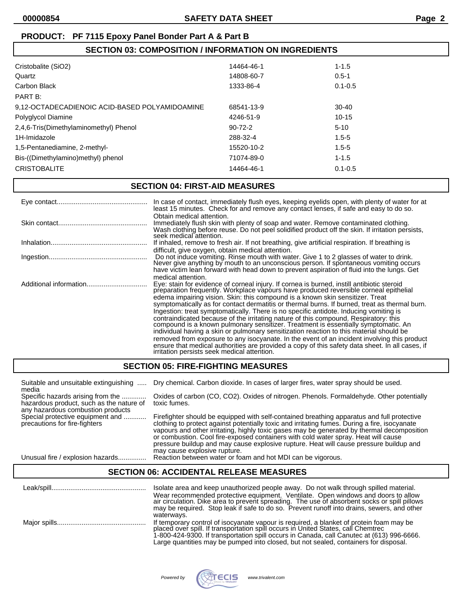## **SECTION 03: COMPOSITION / INFORMATION ON INGREDIENTS**

| Cristobalite (SiO2)                            | 14464-46-1    | $1 - 1.5$   |
|------------------------------------------------|---------------|-------------|
| Quartz                                         | 14808-60-7    | $0.5 - 1$   |
| Carbon Black                                   | 1333-86-4     | $0.1 - 0.5$ |
| PART B:                                        |               |             |
| 9,12-OCTADECADIENOIC ACID-BASED POLYAMIDOAMINE | 68541-13-9    | $30-40$     |
| Polyglycol Diamine                             | 4246-51-9     | $10 - 15$   |
| 2,4,6-Tris(Dimethylaminomethyl) Phenol         | $90 - 72 - 2$ | $5 - 10$    |
| 1H-Imidazole                                   | 288-32-4      | $1.5 - 5$   |
| 1,5-Pentanediamine, 2-methyl-                  | 15520-10-2    | $1.5 - 5$   |
| Bis-((Dimethylamino)methyl) phenol             | 71074-89-0    | $1 - 1.5$   |
| <b>CRISTOBALITE</b>                            | 14464-46-1    | $0.1 - 0.5$ |
|                                                |               |             |

#### **SECTION 04: FIRST-AID MEASURES**

|                        | In case of contact, immediately flush eyes, keeping eyelids open, with plenty of water for at<br>least 15 minutes. Check for and remove any contact lenses, if safe and easy to do so.                                                                                                                                                                                                                                                                                                                                                                                                                                                                                                                                                                                                                                                                                                                                                                                                                         |
|------------------------|----------------------------------------------------------------------------------------------------------------------------------------------------------------------------------------------------------------------------------------------------------------------------------------------------------------------------------------------------------------------------------------------------------------------------------------------------------------------------------------------------------------------------------------------------------------------------------------------------------------------------------------------------------------------------------------------------------------------------------------------------------------------------------------------------------------------------------------------------------------------------------------------------------------------------------------------------------------------------------------------------------------|
|                        | Obtain medical attention.<br>Immediately flush skin with plenty of soap and water. Remove contaminated clothing.<br>Wash clothing before reuse. Do not peel solidified product off the skin. If irritation persists,<br>seek medical attention.                                                                                                                                                                                                                                                                                                                                                                                                                                                                                                                                                                                                                                                                                                                                                                |
|                        | If inhaled, remove to fresh air. If not breathing, give artificial respiration. If breathing is                                                                                                                                                                                                                                                                                                                                                                                                                                                                                                                                                                                                                                                                                                                                                                                                                                                                                                                |
|                        | difficult, give oxygen, obtain medical attention.<br>Do not induce vomiting. Rinse mouth with water. Give 1 to 2 glasses of water to drink.<br>Never give anything by mouth to an unconscious person. If spontaneous vomiting occurs<br>have victim lean forward with head down to prevent aspiration of fluid into the lungs. Get                                                                                                                                                                                                                                                                                                                                                                                                                                                                                                                                                                                                                                                                             |
| Additional information | medical attention.<br>Eye: stain for evidence of corneal injury. If cornea is burned, instill antibiotic steroid<br>preparation frequently. Workplace vapours have produced reversible corneal epithelial<br>edema impairing vision. Skin: this compound is a known skin sensitizer. Treat<br>symptomatically as for contact dermatitis or thermal burns. If burned, treat as thermal burn.<br>Ingestion: treat symptomatically. There is no specific antidote. Inducing vomiting is<br>contraindicated because of the irritating nature of this compound. Respiratory: this<br>compound is a known pulmonary sensitizer. Treatment is essentially symptomatic. An<br>individual having a skin or pulmonary sensitization reaction to this material should be<br>removed from exposure to any isocyanate. In the event of an incident involving this product<br>ensure that medical authorities are provided a copy of this safety data sheet. In all cases, if<br>irritation persists seek medical attention. |

## **SECTION 05: FIRE-FIGHTING MEASURES**

| Suitable and unsuitable extinguishing                                                                              | Dry chemical. Carbon dioxide. In cases of larger fires, water spray should be used.                                                                                                                                                                                                                                                                                                                                                                                                                       |
|--------------------------------------------------------------------------------------------------------------------|-----------------------------------------------------------------------------------------------------------------------------------------------------------------------------------------------------------------------------------------------------------------------------------------------------------------------------------------------------------------------------------------------------------------------------------------------------------------------------------------------------------|
| media                                                                                                              |                                                                                                                                                                                                                                                                                                                                                                                                                                                                                                           |
| Specific hazards arising from the<br>hazardous product, such as the nature of<br>any hazardous combustion products | Oxides of carbon (CO, CO2). Oxides of nitrogen. Phenols. Formaldehyde. Other potentially<br>toxic fumes.                                                                                                                                                                                                                                                                                                                                                                                                  |
| Special protective equipment and<br>precautions for fire-fighters                                                  | Firefighter should be equipped with self-contained breathing apparatus and full protective<br>clothing to protect against potentially toxic and irritating fumes. During a fire, isocyanate<br>vapours and other irritating, highly toxic gases may be generated by thermal decomposition<br>or combustion. Cool fire-exposed containers with cold water spray. Heat will cause<br>pressure buildup and may cause explosive rupture. Heat will cause pressure buildup and<br>may cause explosive rupture. |

Unusual fire / explosion hazards............... Reaction between water or foam and hot MDI can be vigorous.

#### **SECTION 06: ACCIDENTAL RELEASE MEASURES**

| Isolate area and keep unauthorized people away. Do not walk through spilled material.<br>Wear recommended protective equipment. Ventilate. Open windows and doors to allow<br>air circulation. Dike area to prevent spreading. The use of absorbent socks or spill pillows<br>may be required. Stop leak if safe to do so. Prevent runoff into drains, sewers, and other<br>waterways. |
|----------------------------------------------------------------------------------------------------------------------------------------------------------------------------------------------------------------------------------------------------------------------------------------------------------------------------------------------------------------------------------------|
| If temporary control of isocyanate vapour is required, a blanket of protein foam may be placed over spill. If transportation spill occurs in United States, call Chemtrec<br>1-800-424-9300. If transportation spill occurs in Canada, call Canutec at (613) 996-6666.<br>Large quantities may be pumped into closed, but not sealed, containers for disposal.                         |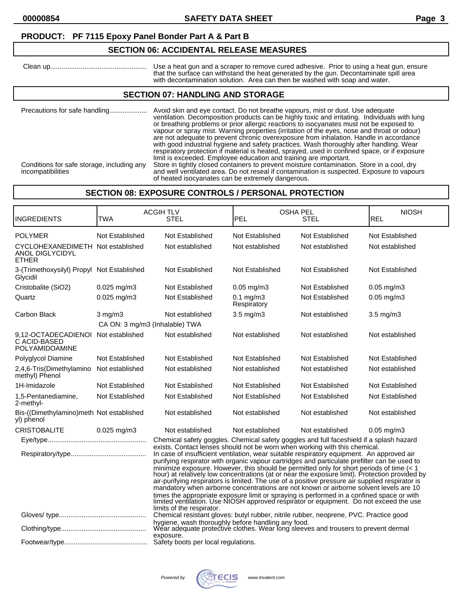## **SECTION 06: ACCIDENTAL RELEASE MEASURES**

 Clean up................................................... Use a heat gun and a scraper to remove cured adhesive. Prior to using a heat gun, ensure that the surface can withstand the heat generated by the gun. Decontaminate spill area with decontamination solution. Area can then be washed with soap and water.

#### **SECTION 07: HANDLING AND STORAGE**

| Precautions for safe handling                                   | Avoid skin and eye contact. Do not breathe vapours, mist or dust. Use adequate<br>ventilation. Decomposition products can be highly toxic and irritating. Individuals with lung<br>or breathing problems or prior allergic reactions to isocyanates must not be exposed to<br>vapour or spray mist. Warning properties (irritation of the eyes, nose and throat or odour)<br>are not adequate to prevent chronic overexposure from inhalation. Handle in accordance<br>with good industrial hygiene and safety practices. Wash thoroughly after handling. Wear<br>respiratory protection if material is heated, sprayed, used in confined space, or if exposure<br>limit is exceeded. Employee education and training are important. |
|-----------------------------------------------------------------|--------------------------------------------------------------------------------------------------------------------------------------------------------------------------------------------------------------------------------------------------------------------------------------------------------------------------------------------------------------------------------------------------------------------------------------------------------------------------------------------------------------------------------------------------------------------------------------------------------------------------------------------------------------------------------------------------------------------------------------|
| Conditions for safe storage, including any<br>incompatibilities | Store in tightly closed containers to prevent moisture contamination. Store in a cool, dry<br>and well ventilated area. Do not reseal if contamination is suspected. Exposure to vapours<br>of heated isocyanates can be extremely dangerous.                                                                                                                                                                                                                                                                                                                                                                                                                                                                                        |

### **SECTION 08: EXPOSURE CONTROLS / PERSONAL PROTECTION**

| <b>INGREDIENTS</b>                                                          | <b>TWA</b>                     | <b>ACGIHTLV</b><br>STEL                                                                                                                                                                                                                                                                                                                                                                                                                                                                                                                                                                                                                                         | <b>OSHA PEL</b><br>PEL        | STEL            | <b>NIOSH</b><br><b>REL</b> |
|-----------------------------------------------------------------------------|--------------------------------|-----------------------------------------------------------------------------------------------------------------------------------------------------------------------------------------------------------------------------------------------------------------------------------------------------------------------------------------------------------------------------------------------------------------------------------------------------------------------------------------------------------------------------------------------------------------------------------------------------------------------------------------------------------------|-------------------------------|-----------------|----------------------------|
| <b>POLYMER</b>                                                              | Not Established                | Not Established                                                                                                                                                                                                                                                                                                                                                                                                                                                                                                                                                                                                                                                 | Not Established               | Not Established | Not Established            |
| CYCLOHEXANEDIMETH Not established<br><b>ANOL DIGLYCIDYL</b><br><b>ETHER</b> |                                | Not established                                                                                                                                                                                                                                                                                                                                                                                                                                                                                                                                                                                                                                                 | Not established               | Not established | Not established            |
| 3-(Trimethoxysilyl) Propyl<br>Glycidil                                      | Not Established                | Not Established                                                                                                                                                                                                                                                                                                                                                                                                                                                                                                                                                                                                                                                 | Not Established               | Not Established | Not Established            |
| Cristobalite (SiO2)                                                         | $0.025$ mg/m3                  | Not Established                                                                                                                                                                                                                                                                                                                                                                                                                                                                                                                                                                                                                                                 | $0.05$ mg/m $3$               | Not Established | $0.05$ mg/m $3$            |
| Quartz                                                                      | $0.025$ mg/m3                  | Not Established                                                                                                                                                                                                                                                                                                                                                                                                                                                                                                                                                                                                                                                 | $0.1$ mg/m $3$<br>Respiratory | Not Established | $0.05$ mg/m $3$            |
| Carbon Black                                                                | $3$ mg/m $3$                   | Not established                                                                                                                                                                                                                                                                                                                                                                                                                                                                                                                                                                                                                                                 | $3.5 \text{ mg/m}$            | Not established | $3.5$ mg/m $3$             |
|                                                                             | CA ON: 3 mg/m3 (Inhalable) TWA |                                                                                                                                                                                                                                                                                                                                                                                                                                                                                                                                                                                                                                                                 |                               |                 |                            |
| 9.12-OCTADECADIENOI<br>C ACID-BASED<br>POLYAMIDOAMINE                       | Not established                | Not established                                                                                                                                                                                                                                                                                                                                                                                                                                                                                                                                                                                                                                                 | Not established               | Not established | Not established            |
| Polyglycol Diamine                                                          | Not Established                | Not Established                                                                                                                                                                                                                                                                                                                                                                                                                                                                                                                                                                                                                                                 | Not Established               | Not Established | Not Established            |
| 2,4,6-Tris(Dimethylamino<br>methyl) Phenol                                  | Not established                | Not established                                                                                                                                                                                                                                                                                                                                                                                                                                                                                                                                                                                                                                                 | Not established               | Not established | Not established            |
| 1H-Imidazole                                                                | Not Established                | Not Established                                                                                                                                                                                                                                                                                                                                                                                                                                                                                                                                                                                                                                                 | Not Established               | Not Established | Not Established            |
| 1,5-Pentanediamine,<br>2-methyl-                                            | Not Established                | Not Established                                                                                                                                                                                                                                                                                                                                                                                                                                                                                                                                                                                                                                                 | Not Established               | Not Established | Not Established            |
| Bis-((Dimethylamino)meth Not established<br>yl) phenol                      |                                | Not established                                                                                                                                                                                                                                                                                                                                                                                                                                                                                                                                                                                                                                                 | Not established               | Not established | Not established            |
| <b>CRISTOBALITE</b>                                                         | $0.025$ mg/m3                  | Not established                                                                                                                                                                                                                                                                                                                                                                                                                                                                                                                                                                                                                                                 | Not established               | Not established | $0.05$ mg/m $3$            |
|                                                                             |                                | Chemical safety goggles. Chemical safety goggles and full faceshield if a splash hazard                                                                                                                                                                                                                                                                                                                                                                                                                                                                                                                                                                         |                               |                 |                            |
|                                                                             |                                | exists. Contact lenses should not be worn when working with this chemical.<br>In case of insufficient ventilation, wear suitable respiratory equipment. An approved air<br>purifying respirator with organic vapour cartridges and particulate prefilter can be used to<br>minimize exposure. However, this should be permitted only for short periods of time (< 1 hour) at relatively low concentrations (at or near the exposure limit). Protection provided by<br>air-purifying respirators is limited. The use of a positive pressure air supplied respirator is<br>mandatory when airborne concentrations are not known or airborne solvent levels are 10 |                               |                 |                            |
|                                                                             |                                | times the appropriate exposure limit or spraying is performed in a confined space or with<br>limited ventilation. Use NIOSH approved respirator or equipment. Do not exceed the use<br>limits of the respirator.                                                                                                                                                                                                                                                                                                                                                                                                                                                |                               |                 |                            |
|                                                                             |                                | Chemical resistant gloves: butyl rubber, nitrile rubber, neoprene, PVC. Practice good                                                                                                                                                                                                                                                                                                                                                                                                                                                                                                                                                                           |                               |                 |                            |
|                                                                             |                                | hygiene, wash thoroughly before handling any food.<br>Wear adequate protective clothes. Wear long sleeves and trousers to prevent dermal<br>exposure.                                                                                                                                                                                                                                                                                                                                                                                                                                                                                                           |                               |                 |                            |
|                                                                             |                                | Safety boots per local regulations.                                                                                                                                                                                                                                                                                                                                                                                                                                                                                                                                                                                                                             |                               |                 |                            |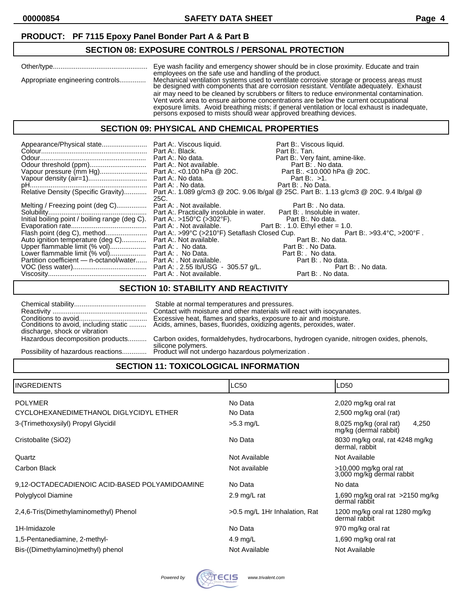### **SECTION 08: EXPOSURE CONTROLS / PERSONAL PROTECTION**

|                                  | Eye wash facility and emergency shower should be in close proximity. Educate and train<br>employees on the safe use and handling of the product.                                                                                                                                                                                                                                                                                                                                                                                              |
|----------------------------------|-----------------------------------------------------------------------------------------------------------------------------------------------------------------------------------------------------------------------------------------------------------------------------------------------------------------------------------------------------------------------------------------------------------------------------------------------------------------------------------------------------------------------------------------------|
| Appropriate engineering controls | Mechanical ventilation systems used to ventilate corrosive storage or process areas must<br>be designed with components that are corrosion resistant. Ventilate adequately. Exhaust<br>air may need to be cleaned by scrubbers or filters to reduce environmental contamination.<br>Vent work area to ensure airborne concentrations are below the current occupational<br>exposure limits. Avoid breathing mists; if general ventilation or local exhaust is inadequate,<br>persons exposed to mists should wear approved breathing devices. |

#### **SECTION 09: PHYSICAL AND CHEMICAL PROPERTIES**

|                                                                              |      | Part B:. Viscous liquid.<br>Part B:. Tan.<br>Part B:. Very faint, amine-like.                                              |
|------------------------------------------------------------------------------|------|----------------------------------------------------------------------------------------------------------------------------|
|                                                                              |      |                                                                                                                            |
|                                                                              |      |                                                                                                                            |
|                                                                              |      |                                                                                                                            |
|                                                                              | 25C. | Relative Density (Specific Gravity) Part A:. 1.089 g/cm3 @ 20C. 9.06 lb/gal @ 25C. Part B:. 1.13 g/cm3 @ 20C. 9.4 lb/gal @ |
| Melting / Freezing point (deg C) Part A: . Not available. Part B: . No data. |      |                                                                                                                            |
|                                                                              |      |                                                                                                                            |
|                                                                              |      |                                                                                                                            |
|                                                                              |      |                                                                                                                            |
|                                                                              |      |                                                                                                                            |
| Auto ignition temperature (deg C) Part A:. Not available.                    |      | Part B:. No data.                                                                                                          |
|                                                                              |      | Part B: . No Data.                                                                                                         |
|                                                                              |      |                                                                                                                            |
| Partition coefficient - n-octanol/water Part A: . Not available.             |      | Part B: . No data.                                                                                                         |
|                                                                              |      | Part B: . No data.                                                                                                         |
|                                                                              |      | Part B: . No data.                                                                                                         |

## **SECTION 10: STABILITY AND REACTIVITY**

| discharge, shock or vibration      | Stable at normal temperatures and pressures.<br>Contact with moisture and other materials will react with isocyanates. |
|------------------------------------|------------------------------------------------------------------------------------------------------------------------|
| Hazardous decomposition products   | Carbon oxides, formaldehydes, hydrocarbons, hydrogen cyanide, nitrogen oxides, phenols,                                |
| Possibility of hazardous reactions | silicone polymers.<br>Product will not undergo hazardous polymerization.                                               |

## **SECTION 11: TOXICOLOGICAL INFORMATION**

| IINGREDIENTS                                   | LC50                          | LD50                                                       |
|------------------------------------------------|-------------------------------|------------------------------------------------------------|
| <b>POLYMER</b>                                 | No Data                       | 2,020 mg/kg oral rat                                       |
| CYCLOHEXANEDIMETHANOL DIGLYCIDYL ETHER         | No Data                       | 2,500 mg/kg oral (rat)                                     |
| 3-(Trimethoxysilyl) Propyl Glycidil            | $>5.3$ mg/L                   | $8,025$ mg/kg (oral rat)<br>4,250<br>mg/kg (dermal rabbit) |
| Cristobalite (SiO2)                            | No Data                       | 8030 mg/kg oral, rat 4248 mg/kg<br>dermal, rabbit          |
| Quartz                                         | Not Available                 | Not Available                                              |
| Carbon Black                                   | Not available                 | >10,000 mg/kg oral rat<br>3,000 mg/kg dermal rabbit        |
| 9,12-OCTADECADIENOIC ACID-BASED POLYAMIDOAMINE | No Data                       | No data                                                    |
| Polyglycol Diamine                             | 2.9 mg/L rat                  | 1,690 mg/kg oral rat $>2150$ mg/kg<br>dermal răbbit        |
| 2,4,6-Tris(Dimethylaminomethyl) Phenol         | >0.5 mg/L 1Hr Inhalation, Rat | 1200 mg/kg oral rat 1280 mg/kg<br>dermal rabbit            |
| 1H-Imidazole                                   | No Data                       | 970 mg/kg oral rat                                         |
| 1,5-Pentanediamine, 2-methyl-                  | 4.9 mg/L                      | 1,690 mg/kg oral rat                                       |
| Bis-((Dimethylamino)methyl) phenol             | Not Available                 | Not Available                                              |

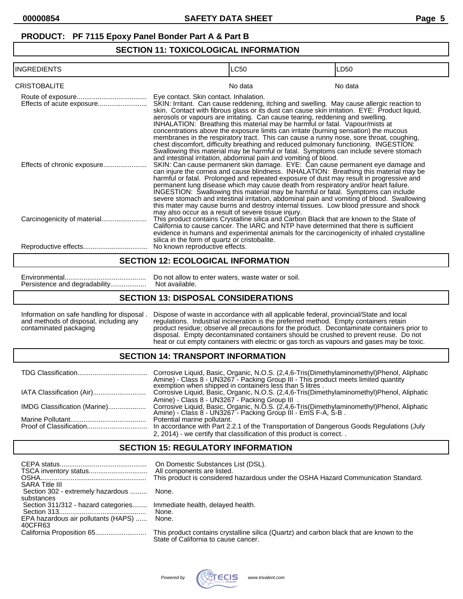### **SECTION 11: TOXICOLOGICAL INFORMATION**

| <b>INGREDIENTS</b>  |                                                                                                                                                                                                                                                                                                                                                                                                                                                                                                                                                                                                                                                                                                                                                                                                                                               | <b>LC50</b>                                                                                                                                                                                                                                                                                                                                                                                                                                                                                                                                                                                                                           | LD50    |
|---------------------|-----------------------------------------------------------------------------------------------------------------------------------------------------------------------------------------------------------------------------------------------------------------------------------------------------------------------------------------------------------------------------------------------------------------------------------------------------------------------------------------------------------------------------------------------------------------------------------------------------------------------------------------------------------------------------------------------------------------------------------------------------------------------------------------------------------------------------------------------|---------------------------------------------------------------------------------------------------------------------------------------------------------------------------------------------------------------------------------------------------------------------------------------------------------------------------------------------------------------------------------------------------------------------------------------------------------------------------------------------------------------------------------------------------------------------------------------------------------------------------------------|---------|
| <b>CRISTOBALITE</b> |                                                                                                                                                                                                                                                                                                                                                                                                                                                                                                                                                                                                                                                                                                                                                                                                                                               | No data                                                                                                                                                                                                                                                                                                                                                                                                                                                                                                                                                                                                                               | No data |
|                     | Eye contact. Skin contact. Inhalation.<br>SKIN: Irritant. Can cause reddening, itching and swelling. May cause allergic reaction to<br>skin. Contact with fibrous glass or its dust can cause skin irritation. EYE: Product liquid,<br>aerosols or vapours are irritating. Can cause tearing, reddening and swelling.<br>INHALATION: Breathing this material may be harmful or fatal. Vapour/mists at<br>concentrations above the exposure limits can irritate (burning sensation) the mucous<br>membranes in the respiratory tract. This can cause a runny nose, sore throat, coughing,<br>chest discomfort, difficulty breathing and reduced pulmonary functioning. INGESTION:<br>Swallowing this material may be harmful or fatal. Symptoms can include severe stomach<br>and intestinal irritation, abdominal pain and vomiting of blood. |                                                                                                                                                                                                                                                                                                                                                                                                                                                                                                                                                                                                                                       |         |
|                     | may also occur as a result of severe tissue injury.                                                                                                                                                                                                                                                                                                                                                                                                                                                                                                                                                                                                                                                                                                                                                                                           | SKIN: Can cause permanent skin damage. EYE: Can cause permanent eye damage and<br>can injure the cornea and cause blindness. INHALATION: Breathing this material may be<br>harmful or fatal. Prolonged and repeated exposure of dust may result in progressive and<br>permanent lung disease which may cause death from respiratory and/or heart failure.<br>INGESTION: Swallowing this material may be harmful or fatal. Symptoms can include<br>severe stomach and intestinal irritation, abdominal pain and vomiting of blood. Swallowing<br>this mater may cause burns and destroy internal tissues. Low blood pressure and shock |         |
|                     | silica in the form of quartz or cristobalite.                                                                                                                                                                                                                                                                                                                                                                                                                                                                                                                                                                                                                                                                                                                                                                                                 | This product contains Crystalline silica and Carbon Black that are known to the State of<br>California to cause cancer. The IARC and NTP have determined that there is sufficient<br>evidence in humans and experimental animals for the carcinogenicity of inhaled crystalline                                                                                                                                                                                                                                                                                                                                                       |         |
|                     | No known reproductive effects.                                                                                                                                                                                                                                                                                                                                                                                                                                                                                                                                                                                                                                                                                                                                                                                                                |                                                                                                                                                                                                                                                                                                                                                                                                                                                                                                                                                                                                                                       |         |

#### **SECTION 12: ECOLOGICAL INFORMATION**

Persistence and degradability...................

Environmental........................................... Do not allow to enter waters, waste water or soil.

#### **SECTION 13: DISPOSAL CONSIDERATIONS**

Information on safe handling for disposal . Dispose of waste in accordance with all applicable federal, provincial/State and local and methods of disposal, including any regulations. Industrial incineration is the preferre and methods of disposal, including any regulations. Industrial incineration is the preferred method. Empty containers retain contaminated packaging product residue; observe all precautions for the product. Decontaminate containers prior to disposal. Empty decontaminated containers should be crushed to prevent reuse. Do not heat or cut empty containers with electric or gas torch as vapours and gases may be toxic.

#### **SECTION 14: TRANSPORT INFORMATION**

|                              | Corrosive Liquid, Basic, Organic, N.O.S. (2,4,6-Tris(Dimethylaminomethyl)Phenol, Aliphatic<br>Amine) - Class 8 - UN3267 - Packing Group III - This product meets limited quantity exemption when shipped in containers less than 5 litres. |
|------------------------------|--------------------------------------------------------------------------------------------------------------------------------------------------------------------------------------------------------------------------------------------|
|                              | Corrosive Liquid, Basic, Organic, N.O.S. (2,4,6-Tris(Dimethylaminomethyl)Phenol, Aliphatic                                                                                                                                                 |
|                              | Amine) - Class 8 - UN3267 - Packing Group III.                                                                                                                                                                                             |
| IMDG Classification (Marine) | Corrosive Liquid, Basic, Organic, N.O.S. (2,4,6-Tris(Dimethylaminomethyl)Phenol, Aliphatic Amine) - Class 8 - UN3267 - Packing Group III - EmS F-A, S-B.                                                                                   |
|                              | Potential marine pollutant.                                                                                                                                                                                                                |
|                              | In accordance with Part 2.2.1 of the Transportation of Dangerous Goods Regulations (July                                                                                                                                                   |
|                              | 2, 2014) - we certify that classification of this product is correct. .                                                                                                                                                                    |

## **SECTION 15: REGULATORY INFORMATION**

| <b>SARA Title III</b>                             | On Domestic Substances List (DSL).<br>This product is considered hazardous under the OSHA Hazard Communication Standard.         |
|---------------------------------------------------|----------------------------------------------------------------------------------------------------------------------------------|
| Section 302 - extremely hazardous  None.          |                                                                                                                                  |
| substances<br>Section 311/312 - hazard categories | Immediate health, delayed health.                                                                                                |
|                                                   | None.                                                                                                                            |
| EPA hazardous air pollutants (HAPS)<br>40CFR63    | None.                                                                                                                            |
|                                                   | This product contains crystalline silica (Quartz) and carbon black that are known to the<br>State of California to cause cancer. |